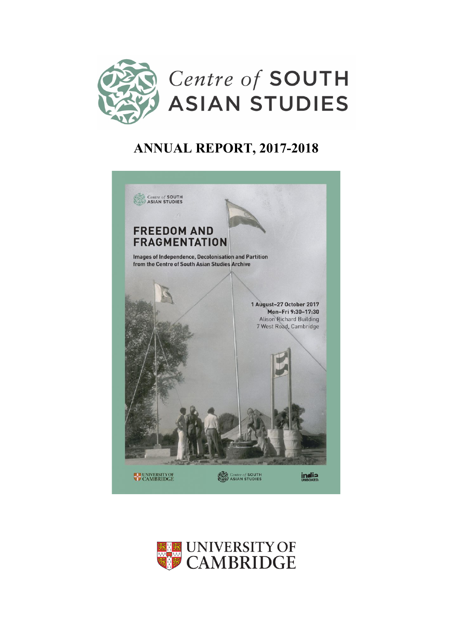

# **ANNUAL REPORT, 2017-2018**



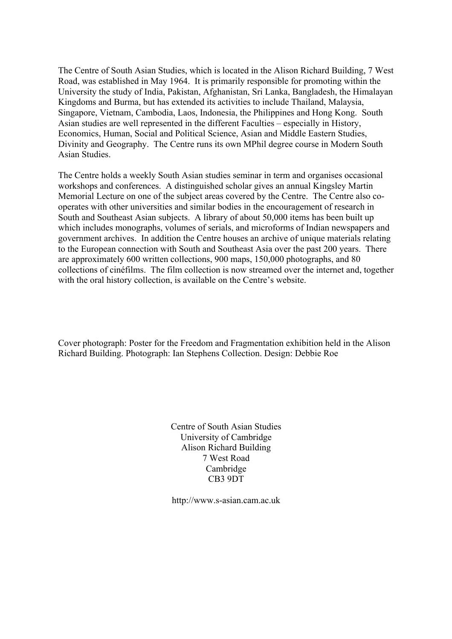The Centre of South Asian Studies, which is located in the Alison Richard Building, 7 West Road, was established in May 1964. It is primarily responsible for promoting within the University the study of India, Pakistan, Afghanistan, Sri Lanka, Bangladesh, the Himalayan Kingdoms and Burma, but has extended its activities to include Thailand, Malaysia, Singapore, Vietnam, Cambodia, Laos, Indonesia, the Philippines and Hong Kong. South Asian studies are well represented in the different Faculties – especially in History, Economics, Human, Social and Political Science, Asian and Middle Eastern Studies, Divinity and Geography. The Centre runs its own MPhil degree course in Modern South Asian Studies.

The Centre holds a weekly South Asian studies seminar in term and organises occasional workshops and conferences. A distinguished scholar gives an annual Kingsley Martin Memorial Lecture on one of the subject areas covered by the Centre. The Centre also cooperates with other universities and similar bodies in the encouragement of research in South and Southeast Asian subjects. A library of about 50,000 items has been built up which includes monographs, volumes of serials, and microforms of Indian newspapers and government archives. In addition the Centre houses an archive of unique materials relating to the European connection with South and Southeast Asia over the past 200 years. There are approximately 600 written collections, 900 maps, 150,000 photographs, and 80 collections of cinéfilms. The film collection is now streamed over the internet and, together with the oral history collection, is available on the Centre's website.

Cover photograph: Poster for the Freedom and Fragmentation exhibition held in the Alison Richard Building. Photograph: Ian Stephens Collection. Design: Debbie Roe

> Centre of South Asian Studies University of Cambridge Alison Richard Building 7 West Road Cambridge CB3 9DT

http://www.s-asian.cam.ac.uk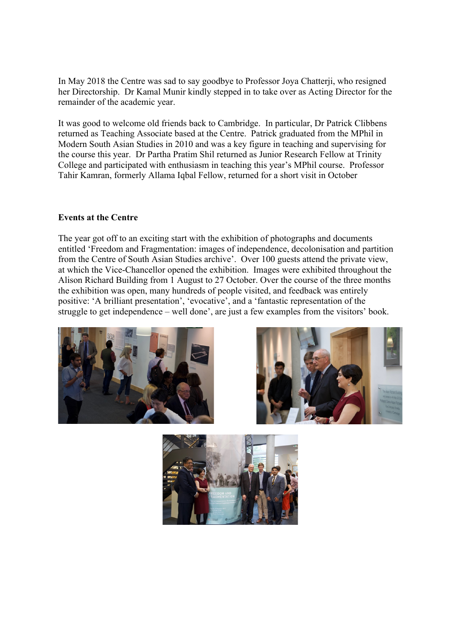In May 2018 the Centre was sad to say goodbye to Professor Joya Chatterji, who resigned her Directorship. Dr Kamal Munir kindly stepped in to take over as Acting Director for the remainder of the academic year.

It was good to welcome old friends back to Cambridge. In particular, Dr Patrick Clibbens returned as Teaching Associate based at the Centre. Patrick graduated from the MPhil in Modern South Asian Studies in 2010 and was a key figure in teaching and supervising for the course this year. Dr Partha Pratim Shil returned as Junior Research Fellow at Trinity College and participated with enthusiasm in teaching this year's MPhil course. Professor Tahir Kamran, formerly Allama Iqbal Fellow, returned for a short visit in October

### **Events at the Centre**

The year got off to an exciting start with the exhibition of photographs and documents entitled 'Freedom and Fragmentation: images of independence, decolonisation and partition from the Centre of South Asian Studies archive'. Over 100 guests attend the private view, at which the Vice-Chancellor opened the exhibition. Images were exhibited throughout the Alison Richard Building from 1 August to 27 October. Over the course of the three months the exhibition was open, many hundreds of people visited, and feedback was entirely positive: 'A brilliant presentation', 'evocative', and a 'fantastic representation of the struggle to get independence – well done', are just a few examples from the visitors' book.





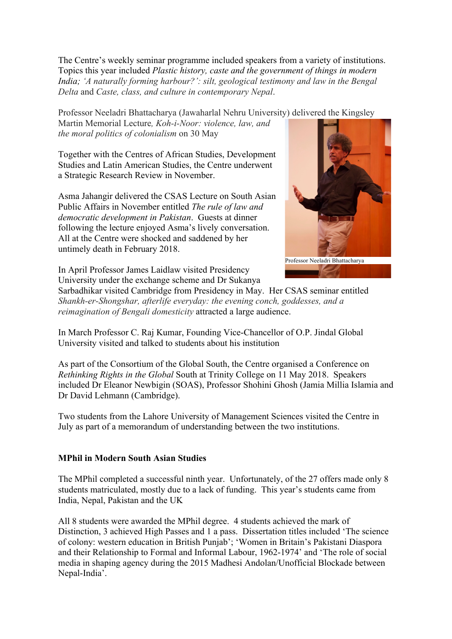The Centre's weekly seminar programme included speakers from a variety of institutions. Topics this year included *Plastic history, caste and the government of things in modern India; 'A naturally forming harbour?': silt, geological testimony and law in the Bengal Delta* and *Caste, class, and culture in contemporary Nepal*.

Professor Neeladri Bhattacharya (Jawaharlal Nehru University) delivered the Kingsley

Martin Memorial Lecture*, Koh-i-Noor: violence, law, and the moral politics of colonialism* on 30 May

Together with the Centres of African Studies, Development Studies and Latin American Studies, the Centre underwent a Strategic Research Review in November.

Asma Jahangir delivered the CSAS Lecture on South Asian Public Affairs in November entitled *The rule of law and democratic development in Pakistan*. Guests at dinner following the lecture enjoyed Asma's lively conversation. All at the Centre were shocked and saddened by her untimely death in February 2018.



In April Professor James Laidlaw visited Presidency University under the exchange scheme and Dr Sukanya

Sarbadhikar visited Cambridge from Presidency in May. Her CSAS seminar entitled *Shankh-er-Shongshar, afterlife everyday: the evening conch, goddesses, and a reimagination of Bengali domesticity* attracted a large audience.

In March Professor C. Raj Kumar, Founding Vice-Chancellor of O.P. Jindal Global University visited and talked to students about his institution

As part of the Consortium of the Global South, the Centre organised a Conference on *Rethinking Rights in the Global* South at Trinity College on 11 May 2018. Speakers included Dr Eleanor Newbigin (SOAS), Professor Shohini Ghosh (Jamia Millia Islamia and Dr David Lehmann (Cambridge).

Two students from the Lahore University of Management Sciences visited the Centre in July as part of a memorandum of understanding between the two institutions.

### **MPhil in Modern South Asian Studies**

The MPhil completed a successful ninth year. Unfortunately, of the 27 offers made only 8 students matriculated, mostly due to a lack of funding. This year's students came from India, Nepal, Pakistan and the UK

All 8 students were awarded the MPhil degree. 4 students achieved the mark of Distinction, 3 achieved High Passes and 1 a pass. Dissertation titles included 'The science of colony: western education in British Punjab'; 'Women in Britain's Pakistani Diaspora and their Relationship to Formal and Informal Labour, 1962-1974' and 'The role of social media in shaping agency during the 2015 Madhesi Andolan/Unofficial Blockade between Nepal-India'.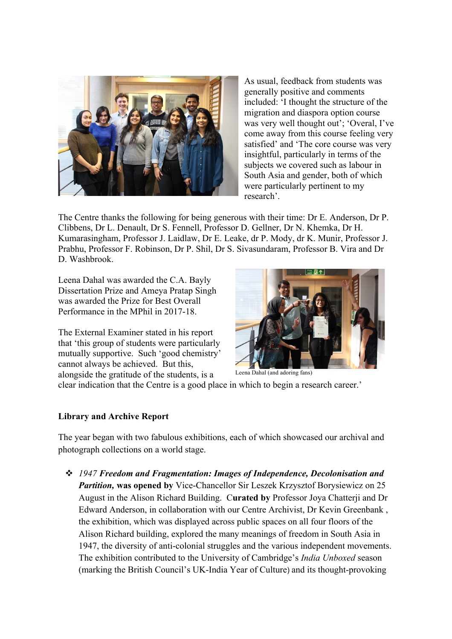

As usual, feedback from students was generally positive and comments included: 'I thought the structure of the migration and diaspora option course was very well thought out'; 'Overal, I've come away from this course feeling very satisfied' and 'The core course was very insightful, particularly in terms of the subjects we covered such as labour in South Asia and gender, both of which were particularly pertinent to my research'.

The Centre thanks the following for being generous with their time: Dr E. Anderson, Dr P. Clibbens, Dr L. Denault, Dr S. Fennell, Professor D. Gellner, Dr N. Khemka, Dr H. Kumarasingham, Professor J. Laidlaw, Dr E. Leake, dr P. Mody, dr K. Munir, Professor J. Prabhu, Professor F. Robinson, Dr P. Shil, Dr S. Sivasundaram, Professor B. Vira and Dr D. Washbrook.

Leena Dahal was awarded the C.A. Bayly Dissertation Prize and Ameya Pratap Singh was awarded the Prize for Best Overall Performance in the MPhil in 2017-18.

The External Examiner stated in his report that 'this group of students were particularly mutually supportive. Such 'good chemistry' cannot always be achieved. But this, alongside the gratitude of the students, is a



Leena Dahal (and adoring fans)

clear indication that the Centre is a good place in which to begin a research career.'

#### **Library and Archive Report**

The year began with two fabulous exhibitions, each of which showcased our archival and photograph collections on a world stage.

v *1947 Freedom and Fragmentation: Images of Independence, Decolonisation and Partition,* **was opened by** Vice-Chancellor Sir Leszek Krzysztof Borysiewicz on 25 August in the Alison Richard Building. C**urated by** Professor Joya Chatterji and Dr Edward Anderson, in collaboration with our Centre Archivist, Dr Kevin Greenbank , the exhibition, which was displayed across public spaces on all four floors of the Alison Richard building, explored the many meanings of freedom in South Asia in 1947, the diversity of anti-colonial struggles and the various independent movements. The exhibition contributed to the University of Cambridge's *India Unboxed* season (marking the British Council's UK-India Year of Culture) and its thought-provoking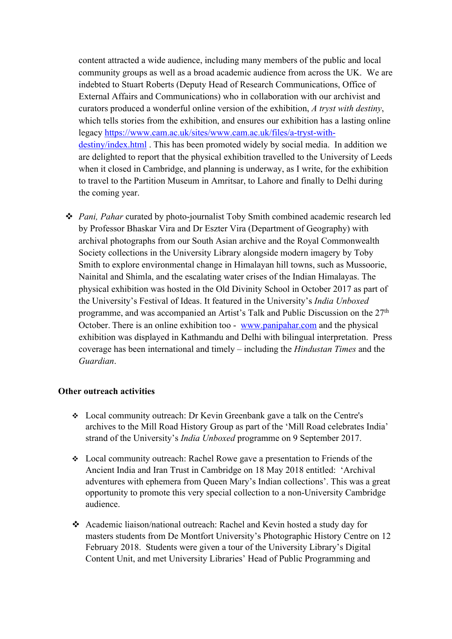content attracted a wide audience, including many members of the public and local community groups as well as a broad academic audience from across the UK. We are indebted to Stuart Roberts (Deputy Head of Research Communications, Office of External Affairs and Communications) who in collaboration with our archivist and curators produced a wonderful online version of the exhibition, *A tryst with destiny*, which tells stories from the exhibition, and ensures our exhibition has a lasting online legacy https://www.cam.ac.uk/sites/www.cam.ac.uk/files/a-tryst-withdestiny/index.html . This has been promoted widely by social media. In addition we are delighted to report that the physical exhibition travelled to the University of Leeds when it closed in Cambridge, and planning is underway, as I write, for the exhibition to travel to the Partition Museum in Amritsar, to Lahore and finally to Delhi during the coming year.

v *Pani, Pahar* curated by photo-journalist Toby Smith combined academic research led by Professor Bhaskar Vira and Dr Eszter Vira (Department of Geography) with archival photographs from our South Asian archive and the Royal Commonwealth Society collections in the University Library alongside modern imagery by Toby Smith to explore environmental change in Himalayan hill towns, such as Mussoorie, Nainital and Shimla, and the escalating water crises of the Indian Himalayas. The physical exhibition was hosted in the Old Divinity School in October 2017 as part of the University's Festival of Ideas. It featured in the University's *India Unboxed* programme, and was accompanied an Artist's Talk and Public Discussion on the 27<sup>th</sup> October. There is an online exhibition too - www.panipahar.com and the physical exhibition was displayed in Kathmandu and Delhi with bilingual interpretation. Press coverage has been international and timely – including the *Hindustan Times* and the *Guardian*.

#### **Other outreach activities**

- v Local community outreach: Dr Kevin Greenbank gave a talk on the Centre's archives to the Mill Road History Group as part of the 'Mill Road celebrates India' strand of the University's *India Unboxed* programme on 9 September 2017.
- Local community outreach: Rachel Rowe gave a presentation to Friends of the Ancient India and Iran Trust in Cambridge on 18 May 2018 entitled: 'Archival adventures with ephemera from Queen Mary's Indian collections'. This was a great opportunity to promote this very special collection to a non-University Cambridge audience.
- \* Academic liaison/national outreach: Rachel and Kevin hosted a study day for masters students from De Montfort University's Photographic History Centre on 12 February 2018. Students were given a tour of the University Library's Digital Content Unit, and met University Libraries' Head of Public Programming and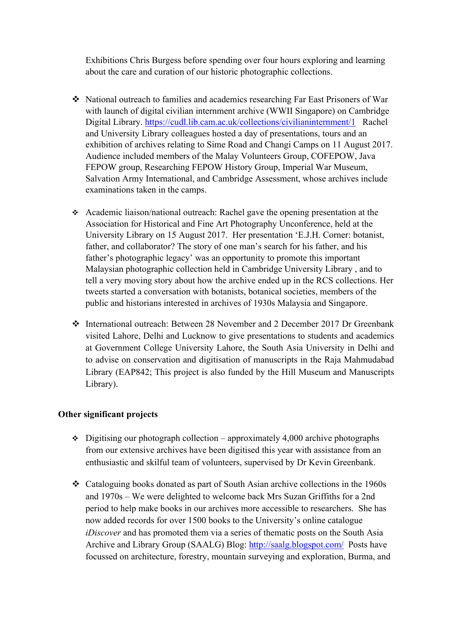Exhibitions Chris Burgess before spending over four hours exploring and learning about the care and curation of our historic photographic collections.

- v National outreach to families and academics researching Far East Prisoners of War with launch of digital civilian internment archive (WWII Singapore) on Cambridge Digital Library. https://cudl.lib.cam.ac.uk/collections/civilianinternment/1 Rachel and University Library colleagues hosted a day of presentations, tours and an exhibition of archives relating to Sime Road and Changi Camps on 11 August 2017. Audience included members of the Malay Volunteers Group, COFEPOW, Java FEPOW group, Researching FEPOW History Group, Imperial War Museum, Salvation Army International, and Cambridge Assessment, whose archives include examinations taken in the camps.
- v Academic liaison/national outreach: Rachel gave the opening presentation at the Association for Historical and Fine Art Photography Unconference, held at the University Library on 15 August 2017. Her presentation 'E.J.H. Corner: botanist, father, and collaborator? The story of one man's search for his father, and his father's photographic legacy' was an opportunity to promote this important Malaysian photographic collection held in Cambridge University Library , and to tell a very moving story about how the archive ended up in the RCS collections. Her tweets started a conversation with botanists, botanical societies, members of the public and historians interested in archives of 1930s Malaysia and Singapore.
- v International outreach: Between 28 November and 2 December 2017 Dr Greenbank visited Lahore, Delhi and Lucknow to give presentations to students and academics at Government College University Lahore, the South Asia University in Delhi and to advise on conservation and digitisation of manuscripts in the Raja Mahmudabad Library (EAP842; This project is also funded by the Hill Museum and Manuscripts Library).

### **Other significant projects**

- $\div$  Digitising our photograph collection approximately 4,000 archive photographs from our extensive archives have been digitised this year with assistance from an enthusiastic and skilful team of volunteers, supervised by Dr Kevin Greenbank.
- v Cataloguing books donated as part of South Asian archive collections in the 1960s and 1970s – We were delighted to welcome back Mrs Suzan Griffiths for a 2nd period to help make books in our archives more accessible to researchers. She has now added records for over 1500 books to the University's online catalogue *iDiscover* and has promoted them via a series of thematic posts on the South Asia Archive and Library Group (SAALG) Blog: http://saalg.blogspot.com/ Posts have focussed on architecture, forestry, mountain surveying and exploration, Burma, and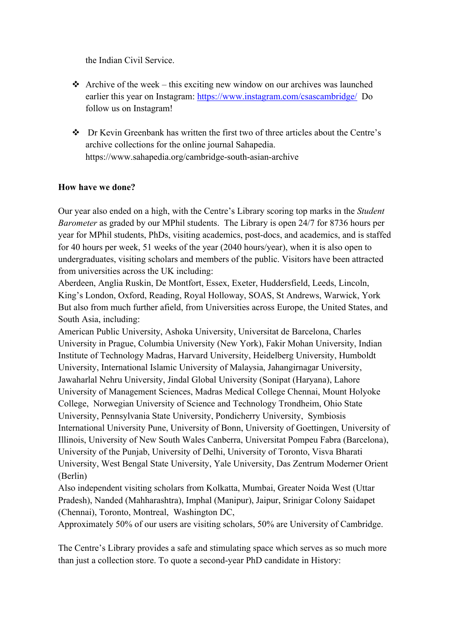the Indian Civil Service.

- $\triangleleft$  Archive of the week this exciting new window on our archives was launched earlier this year on Instagram: https://www.instagram.com/csascambridge/ Do follow us on Instagram!
- v Dr Kevin Greenbank has written the first two of three articles about the Centre's archive collections for the online journal Sahapedia. https://www.sahapedia.org/cambridge-south-asian-archive

### **How have we done?**

Our year also ended on a high, with the Centre's Library scoring top marks in the *Student Barometer* as graded by our MPhil students. The Library is open 24/7 for 8736 hours per year for MPhil students, PhDs, visiting academics, post-docs, and academics, and is staffed for 40 hours per week, 51 weeks of the year (2040 hours/year), when it is also open to undergraduates, visiting scholars and members of the public. Visitors have been attracted from universities across the UK including:

Aberdeen, Anglia Ruskin, De Montfort, Essex, Exeter, Huddersfield, Leeds, Lincoln, King's London, Oxford, Reading, Royal Holloway, SOAS, St Andrews, Warwick, York But also from much further afield, from Universities across Europe, the United States, and South Asia, including:

American Public University, Ashoka University, Universitat de Barcelona, Charles University in Prague, Columbia University (New York), Fakir Mohan University, Indian Institute of Technology Madras, Harvard University, Heidelberg University, Humboldt University, International Islamic University of Malaysia, Jahangirnagar University, Jawaharlal Nehru University, Jindal Global University (Sonipat (Haryana), Lahore University of Management Sciences, Madras Medical College Chennai, Mount Holyoke College, Norwegian University of Science and Technology Trondheim, Ohio State University, Pennsylvania State University, Pondicherry University, Symbiosis International University Pune, University of Bonn, University of Goettingen, University of Illinois, University of New South Wales Canberra, Universitat Pompeu Fabra (Barcelona), University of the Punjab, University of Delhi, University of Toronto, Visva Bharati University, West Bengal State University, Yale University, Das Zentrum Moderner Orient (Berlin)

Also independent visiting scholars from Kolkatta, Mumbai, Greater Noida West (Uttar Pradesh), Nanded (Mahharashtra), Imphal (Manipur), Jaipur, Srinigar Colony Saidapet (Chennai), Toronto, Montreal, Washington DC,

Approximately 50% of our users are visiting scholars, 50% are University of Cambridge.

The Centre's Library provides a safe and stimulating space which serves as so much more than just a collection store. To quote a second-year PhD candidate in History: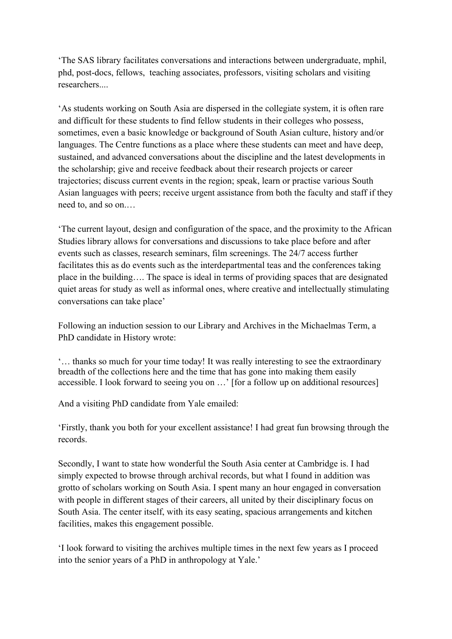'The SAS library facilitates conversations and interactions between undergraduate, mphil, phd, post-docs, fellows, teaching associates, professors, visiting scholars and visiting researchers....

'As students working on South Asia are dispersed in the collegiate system, it is often rare and difficult for these students to find fellow students in their colleges who possess, sometimes, even a basic knowledge or background of South Asian culture, history and/or languages. The Centre functions as a place where these students can meet and have deep, sustained, and advanced conversations about the discipline and the latest developments in the scholarship; give and receive feedback about their research projects or career trajectories; discuss current events in the region; speak, learn or practise various South Asian languages with peers; receive urgent assistance from both the faculty and staff if they need to, and so on.…

'The current layout, design and configuration of the space, and the proximity to the African Studies library allows for conversations and discussions to take place before and after events such as classes, research seminars, film screenings. The 24/7 access further facilitates this as do events such as the interdepartmental teas and the conferences taking place in the building…. The space is ideal in terms of providing spaces that are designated quiet areas for study as well as informal ones, where creative and intellectually stimulating conversations can take place'

Following an induction session to our Library and Archives in the Michaelmas Term, a PhD candidate in History wrote:

'… thanks so much for your time today! It was really interesting to see the extraordinary breadth of the collections here and the time that has gone into making them easily accessible. I look forward to seeing you on …' [for a follow up on additional resources]

And a visiting PhD candidate from Yale emailed:

'Firstly, thank you both for your excellent assistance! I had great fun browsing through the records.

Secondly, I want to state how wonderful the South Asia center at Cambridge is. I had simply expected to browse through archival records, but what I found in addition was grotto of scholars working on South Asia. I spent many an hour engaged in conversation with people in different stages of their careers, all united by their disciplinary focus on South Asia. The center itself, with its easy seating, spacious arrangements and kitchen facilities, makes this engagement possible.

'I look forward to visiting the archives multiple times in the next few years as I proceed into the senior years of a PhD in anthropology at Yale.'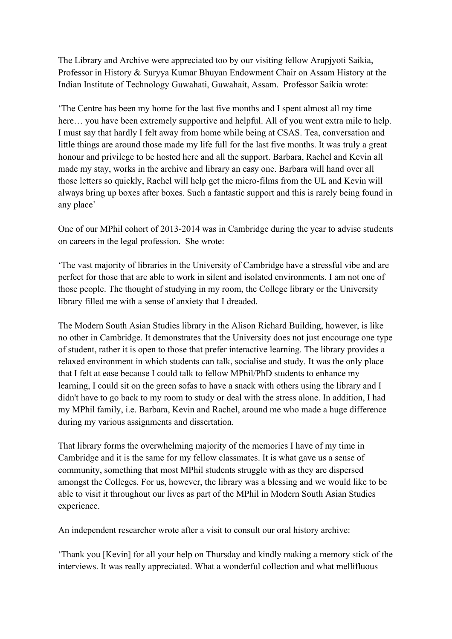The Library and Archive were appreciated too by our visiting fellow Arupjyoti Saikia, Professor in History & Suryya Kumar Bhuyan Endowment Chair on Assam History at the Indian Institute of Technology Guwahati, Guwahait, Assam. Professor Saikia wrote:

'The Centre has been my home for the last five months and I spent almost all my time here... you have been extremely supportive and helpful. All of you went extra mile to help. I must say that hardly I felt away from home while being at CSAS. Tea, conversation and little things are around those made my life full for the last five months. It was truly a great honour and privilege to be hosted here and all the support. Barbara, Rachel and Kevin all made my stay, works in the archive and library an easy one. Barbara will hand over all those letters so quickly, Rachel will help get the micro-films from the UL and Kevin will always bring up boxes after boxes. Such a fantastic support and this is rarely being found in any place'

One of our MPhil cohort of 2013-2014 was in Cambridge during the year to advise students on careers in the legal profession. She wrote:

'The vast majority of libraries in the University of Cambridge have a stressful vibe and are perfect for those that are able to work in silent and isolated environments. I am not one of those people. The thought of studying in my room, the College library or the University library filled me with a sense of anxiety that I dreaded.

The Modern South Asian Studies library in the Alison Richard Building, however, is like no other in Cambridge. It demonstrates that the University does not just encourage one type of student, rather it is open to those that prefer interactive learning. The library provides a relaxed environment in which students can talk, socialise and study. It was the only place that I felt at ease because I could talk to fellow MPhil/PhD students to enhance my learning, I could sit on the green sofas to have a snack with others using the library and I didn't have to go back to my room to study or deal with the stress alone. In addition, I had my MPhil family, i.e. Barbara, Kevin and Rachel, around me who made a huge difference during my various assignments and dissertation.

That library forms the overwhelming majority of the memories I have of my time in Cambridge and it is the same for my fellow classmates. It is what gave us a sense of community, something that most MPhil students struggle with as they are dispersed amongst the Colleges. For us, however, the library was a blessing and we would like to be able to visit it throughout our lives as part of the MPhil in Modern South Asian Studies experience.

An independent researcher wrote after a visit to consult our oral history archive:

'Thank you [Kevin] for all your help on Thursday and kindly making a memory stick of the interviews. It was really appreciated. What a wonderful collection and what mellifluous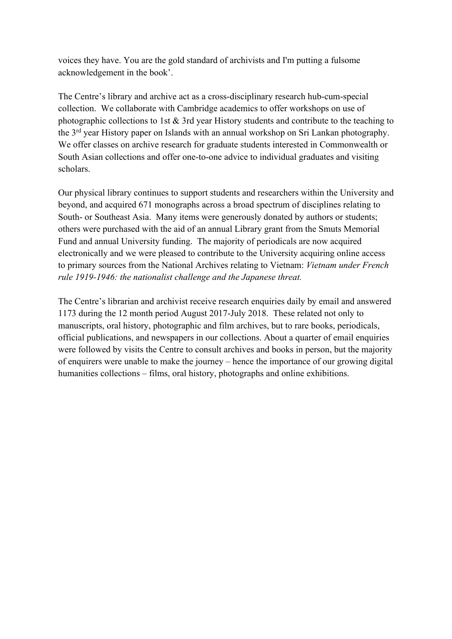voices they have. You are the gold standard of archivists and I'm putting a fulsome acknowledgement in the book'.

The Centre's library and archive act as a cross-disciplinary research hub-cum-special collection. We collaborate with Cambridge academics to offer workshops on use of photographic collections to 1st & 3rd year History students and contribute to the teaching to the 3rd year History paper on Islands with an annual workshop on Sri Lankan photography. We offer classes on archive research for graduate students interested in Commonwealth or South Asian collections and offer one-to-one advice to individual graduates and visiting scholars.

Our physical library continues to support students and researchers within the University and beyond, and acquired 671 monographs across a broad spectrum of disciplines relating to South- or Southeast Asia. Many items were generously donated by authors or students; others were purchased with the aid of an annual Library grant from the Smuts Memorial Fund and annual University funding. The majority of periodicals are now acquired electronically and we were pleased to contribute to the University acquiring online access to primary sources from the National Archives relating to Vietnam: *Vietnam under French rule 1919-1946: the nationalist challenge and the Japanese threat.*

The Centre's librarian and archivist receive research enquiries daily by email and answered 1173 during the 12 month period August 2017-July 2018. These related not only to manuscripts, oral history, photographic and film archives, but to rare books, periodicals, official publications, and newspapers in our collections. About a quarter of email enquiries were followed by visits the Centre to consult archives and books in person, but the majority of enquirers were unable to make the journey – hence the importance of our growing digital humanities collections – films, oral history, photographs and online exhibitions.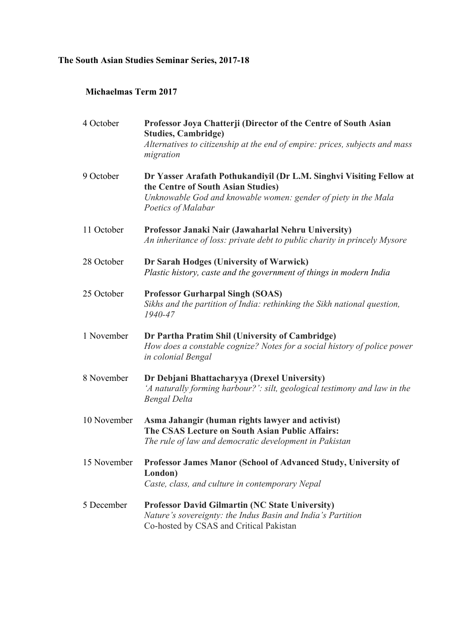### **The South Asian Studies Seminar Series, 2017-18**

### **Michaelmas Term 2017**

| 4 October   | Professor Joya Chatterji (Director of the Centre of South Asian<br><b>Studies, Cambridge)</b>                                                                    |
|-------------|------------------------------------------------------------------------------------------------------------------------------------------------------------------|
|             | Alternatives to citizenship at the end of empire: prices, subjects and mass<br>migration                                                                         |
| 9 October   | Dr Yasser Arafath Pothukandiyil (Dr L.M. Singhvi Visiting Fellow at<br>the Centre of South Asian Studies)                                                        |
|             | Unknowable God and knowable women: gender of piety in the Mala<br>Poetics of Malabar                                                                             |
| 11 October  | Professor Janaki Nair (Jawaharlal Nehru University)<br>An inheritance of loss: private debt to public charity in princely Mysore                                 |
| 28 October  | Dr Sarah Hodges (University of Warwick)<br>Plastic history, caste and the government of things in modern India                                                   |
| 25 October  | <b>Professor Gurharpal Singh (SOAS)</b><br>Sikhs and the partition of India: rethinking the Sikh national question,<br>1940-47                                   |
| 1 November  | Dr Partha Pratim Shil (University of Cambridge)<br>How does a constable cognize? Notes for a social history of police power<br>in colonial Bengal                |
| 8 November  | Dr Debjani Bhattacharyya (Drexel University)<br>'A naturally forming harbour?': silt, geological testimony and law in the<br><b>Bengal Delta</b>                 |
| 10 November | Asma Jahangir (human rights lawyer and activist)<br>The CSAS Lecture on South Asian Public Affairs:<br>The rule of law and democratic development in Pakistan    |
| 15 November | Professor James Manor (School of Advanced Study, University of<br>London)<br>Caste, class, and culture in contemporary Nepal                                     |
| 5 December  | <b>Professor David Gilmartin (NC State University)</b><br>Nature's sovereignty: the Indus Basin and India's Partition<br>Co-hosted by CSAS and Critical Pakistan |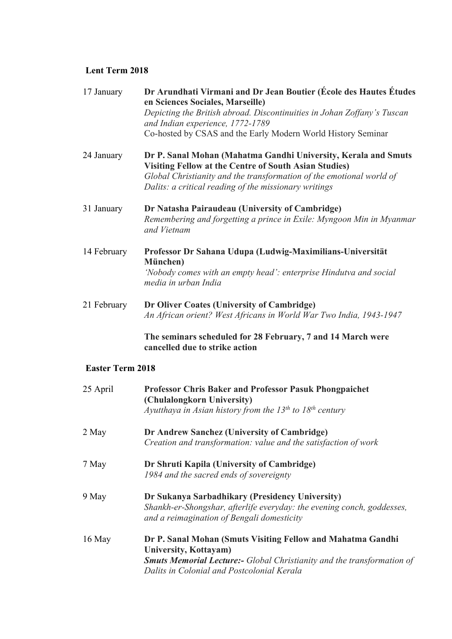### **Lent Term 2018**

| 17 January              | Dr Arundhati Virmani and Dr Jean Boutier (École des Hautes Études<br>en Sciences Sociales, Marseille)<br>Depicting the British abroad. Discontinuities in Johan Zoffany's Tuscan<br>and Indian experience, 1772-1789<br>Co-hosted by CSAS and the Early Modern World History Seminar |
|-------------------------|--------------------------------------------------------------------------------------------------------------------------------------------------------------------------------------------------------------------------------------------------------------------------------------|
| 24 January              | Dr P. Sanal Mohan (Mahatma Gandhi University, Kerala and Smuts<br><b>Visiting Fellow at the Centre of South Asian Studies)</b><br>Global Christianity and the transformation of the emotional world of<br>Dalits: a critical reading of the missionary writings                      |
| 31 January              | Dr Natasha Pairaudeau (University of Cambridge)<br>Remembering and forgetting a prince in Exile: Myngoon Min in Myanmar<br>and Vietnam                                                                                                                                               |
| 14 February             | Professor Dr Sahana Udupa (Ludwig-Maximilians-Universität<br>München)<br>'Nobody comes with an empty head': enterprise Hindutva and social<br>media in urban India                                                                                                                   |
| 21 February             | Dr Oliver Coates (University of Cambridge)<br>An African orient? West Africans in World War Two India, 1943-1947                                                                                                                                                                     |
|                         | The seminars scheduled for 28 February, 7 and 14 March were<br>cancelled due to strike action                                                                                                                                                                                        |
| <b>Easter Term 2018</b> |                                                                                                                                                                                                                                                                                      |
| 25 April                | <b>Professor Chris Baker and Professor Pasuk Phongpaichet</b><br>(Chulalongkorn University)<br>Ayutthaya in Asian history from the $13^{th}$ to $18^{th}$ century                                                                                                                    |
| 2 May                   | Dr Andrew Sanchez (University of Cambridge)<br>Creation and transformation: value and the satisfaction of work                                                                                                                                                                       |
| 7 May                   | Dr Shruti Kapila (University of Cambridge)<br>1984 and the sacred ends of sovereignty                                                                                                                                                                                                |
| 9 May                   | Dr Sukanya Sarbadhikary (Presidency University)<br>Shankh-er-Shongshar, afterlife everyday: the evening conch, goddesses,<br>and a reimagination of Bengali domesticity                                                                                                              |
| 16 May                  | Dr P. Sanal Mohan (Smuts Visiting Fellow and Mahatma Gandhi<br>University, Kottayam)<br><b>Smuts Memorial Lecture:-</b> Global Christianity and the transformation of<br>Dalits in Colonial and Postcolonial Kerala                                                                  |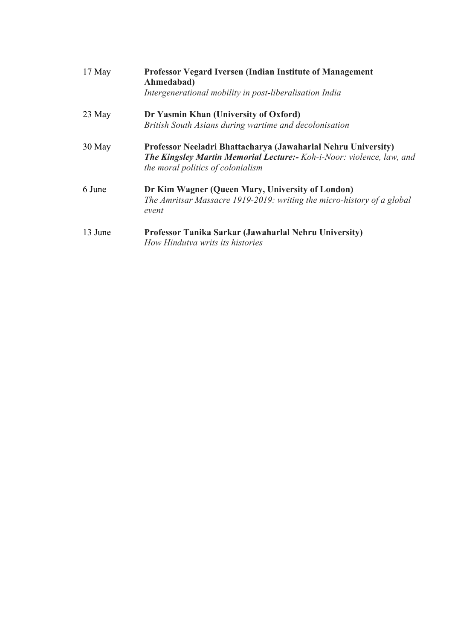| $17$ May | <b>Professor Vegard Iversen (Indian Institute of Management)</b><br>Ahmedabad)<br>Intergenerational mobility in post-liberalisation India                                          |
|----------|------------------------------------------------------------------------------------------------------------------------------------------------------------------------------------|
| 23 May   | Dr Yasmin Khan (University of Oxford)<br>British South Asians during wartime and decolonisation                                                                                    |
| 30 May   | Professor Neeladri Bhattacharya (Jawaharlal Nehru University)<br><b>The Kingsley Martin Memorial Lecture:-</b> Koh-i-Noor: violence, law, and<br>the moral politics of colonialism |
| 6 June   | Dr Kim Wagner (Queen Mary, University of London)<br>The Amritsar Massacre 1919-2019: writing the micro-history of a global<br>event                                                |
| 13 June  | Professor Tanika Sarkar (Jawaharlal Nehru University)<br>How Hindutva writs its histories                                                                                          |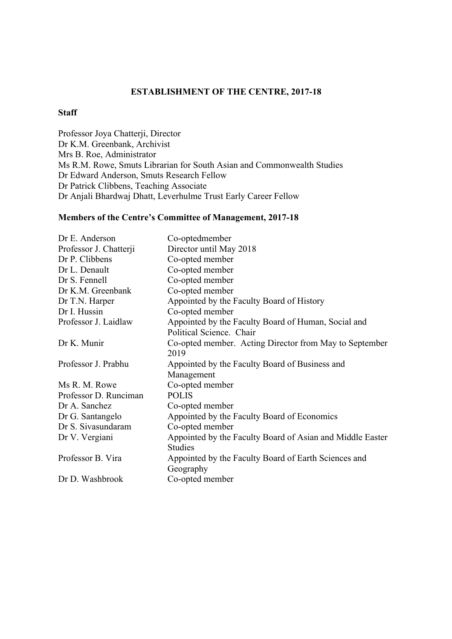## **ESTABLISHMENT OF THE CENTRE, 2017-18**

#### **Staff**

Professor Joya Chatterji, Director Dr K.M. Greenbank, Archivist Mrs B. Roe, Administrator Ms R.M. Rowe, Smuts Librarian for South Asian and Commonwealth Studies Dr Edward Anderson, Smuts Research Fellow Dr Patrick Clibbens, Teaching Associate Dr Anjali Bhardwaj Dhatt, Leverhulme Trust Early Career Fellow

### **Members of the Centre's Committee of Management, 2017-18**

| Dr E. Anderson         | Co-optedmember                                            |
|------------------------|-----------------------------------------------------------|
| Professor J. Chatterji | Director until May 2018                                   |
| Dr P. Clibbens         | Co-opted member                                           |
| Dr L. Denault          | Co-opted member                                           |
| Dr S. Fennell          | Co-opted member                                           |
| Dr K.M. Greenbank      | Co-opted member                                           |
| Dr T.N. Harper         | Appointed by the Faculty Board of History                 |
| Dr I. Hussin           | Co-opted member                                           |
| Professor J. Laidlaw   | Appointed by the Faculty Board of Human, Social and       |
|                        | Political Science. Chair                                  |
| Dr K. Munir            | Co-opted member. Acting Director from May to September    |
|                        | 2019                                                      |
| Professor J. Prabhu    | Appointed by the Faculty Board of Business and            |
|                        | Management                                                |
| Ms R. M. Rowe          | Co-opted member                                           |
| Professor D. Runciman  | <b>POLIS</b>                                              |
| Dr A. Sanchez          | Co-opted member                                           |
| Dr G. Santangelo       | Appointed by the Faculty Board of Economics               |
| Dr S. Sivasundaram     | Co-opted member                                           |
| Dr V. Vergiani         | Appointed by the Faculty Board of Asian and Middle Easter |
|                        | <b>Studies</b>                                            |
| Professor B. Vira      | Appointed by the Faculty Board of Earth Sciences and      |
|                        | Geography                                                 |
| Dr D. Washbrook        | Co-opted member                                           |